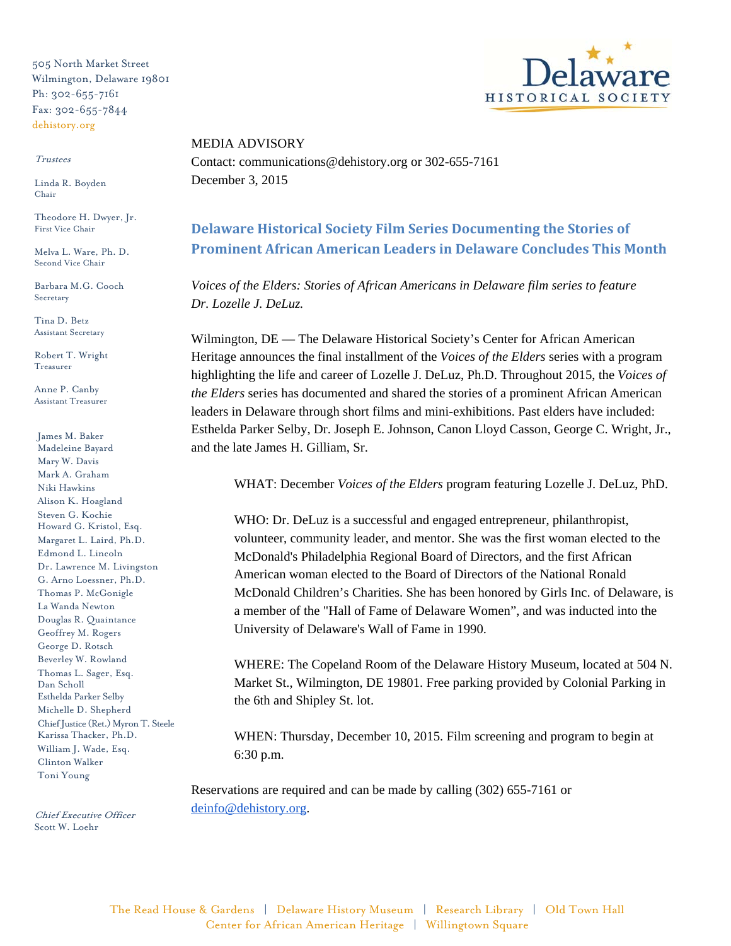505 North Market Street Wilmington, Delaware 19801 Ph: 302-655-7161 Fax: 302-655-7844 dehistory.org

## Trustees

Linda R. Boyden Chair

Theodore H. Dwyer, Jr. First Vice Chair

Melva L. Ware, Ph. D. Second Vice Chair

Barbara M.G. Cooch Secretary

Tina D. Betz Assistant Secretary

Robert T. Wright Treasurer

Anne P. Canby Assistant Treasurer

James M. Baker Madeleine Bayard Mary W. Davis Mark A. Graham Niki Hawkins Alison K. Hoagland Steven G. Kochie Howard G. Kristol, Esq. Margaret L. Laird, Ph.D. Edmond L. Lincoln Dr. Lawrence M. Livingston G. Arno Loessner, Ph.D. Thomas P. McGonigle La Wanda Newton Douglas R. Quaintance Geoffrey M. Rogers George D. Rotsch Beverley W. Rowland Thomas L. Sager, Esq. Dan Scholl Esthelda Parker Selby Michelle D. Shepherd Chief Justice (Ret.) Myron T. Steele Karissa Thacker, Ph.D. William J. Wade, Esq. Clinton Walker Toni Young

Chief Executive Officer Scott W. Loehr



MEDIA ADVISORY Contact: communications@dehistory.org or 302-655-7161 December 3, 2015

## **Delaware Historical Society Film Series Documenting the Stories of Prominent African American Leaders in Delaware Concludes This Month**

*Voices of the Elders: Stories of African Americans in Delaware film series to feature Dr. Lozelle J. DeLuz.*

Wilmington, DE — The Delaware Historical Society's Center for African American Heritage announces the final installment of the *Voices of the Elders* series with a program highlighting the life and career of Lozelle J. DeLuz, Ph.D. Throughout 2015, the *Voices of the Elders* series has documented and shared the stories of a prominent African American leaders in Delaware through short films and mini-exhibitions. Past elders have included: Esthelda Parker Selby, Dr. Joseph E. Johnson, Canon Lloyd Casson, George C. Wright, Jr., and the late James H. Gilliam, Sr.

WHAT: December *Voices of the Elders* program featuring Lozelle J. DeLuz, PhD.

WHO: Dr. DeLuz is a successful and engaged entrepreneur, philanthropist, volunteer, community leader, and mentor. She was the first woman elected to the McDonald's Philadelphia Regional Board of Directors, and the first African American woman elected to the Board of Directors of the National Ronald McDonald Children's Charities. She has been honored by Girls Inc. of Delaware, is a member of the "Hall of Fame of Delaware Women", and was inducted into the University of Delaware's Wall of Fame in 1990.

WHERE: The Copeland Room of the Delaware History Museum, located at 504 N. Market St., Wilmington, DE 19801. Free parking provided by Colonial Parking in the 6th and Shipley St. lot.

WHEN: Thursday, December 10, 2015. Film screening and program to begin at 6:30 p.m.

Reservations are required and can be made by calling (302) 655-7161 or deinfo@dehistory.org.